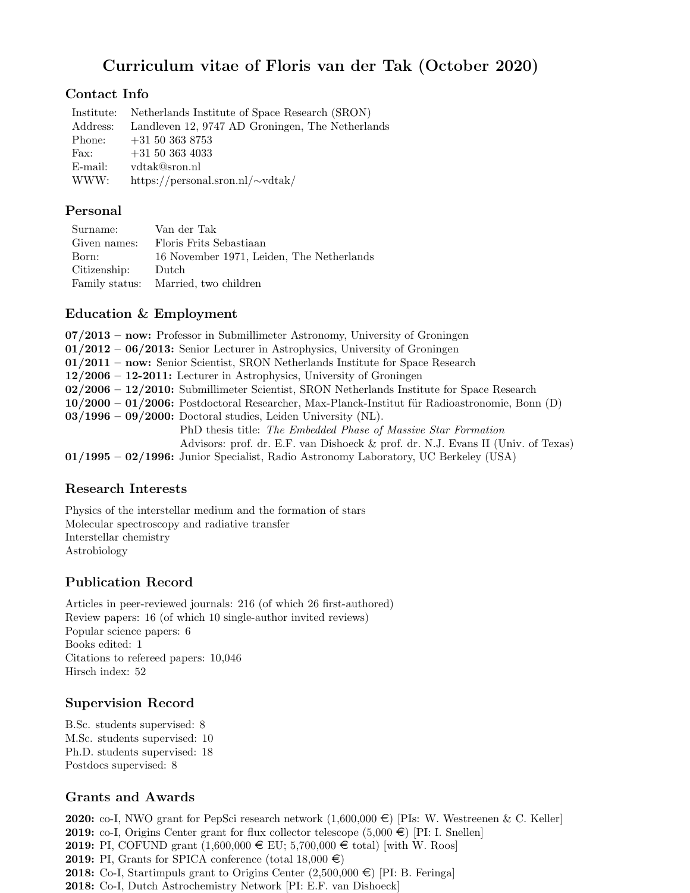# Curriculum vitae of Floris van der Tak (October 2020)

### Contact Info

|          | Institute: Netherlands Institute of Space Research (SRON) |
|----------|-----------------------------------------------------------|
| Address: | Landleven 12, 9747 AD Groningen, The Netherlands          |
| Phone:   | $+31\;50\;363\;8753$                                      |
| Fax:     | $+31\ 50\ 363\ 4033$                                      |
| E-mail:  | vdtak@sron.nl                                             |
| WWW:     | https://personal.sron.nl/ $\sim$ vdtak/                   |
|          |                                                           |

#### Personal

| Surname:     | Van der Tak                               |
|--------------|-------------------------------------------|
| Given names: | Floris Frits Sebastiaan                   |
| Born:        | 16 November 1971, Leiden, The Netherlands |
| Citizenship: | Dutch                                     |
|              | Family status: Married, two children      |

#### Education & Employment

| $07/2013$ – now: Professor in Submillimeter Astronomy, University of Groningen                   |
|--------------------------------------------------------------------------------------------------|
| $01/2012 - 06/2013$ : Senior Lecturer in Astrophysics, University of Groningen                   |
| $01/2011$ – now: Senior Scientist, SRON Netherlands Institute for Space Research                 |
| $12/2006 - 12-2011$ : Lecturer in Astrophysics, University of Groningen                          |
| 02/2006 - 12/2010: Submillimeter Scientist, SRON Netherlands Institute for Space Research        |
| $10/2000 - 01/2006$ : Postdoctoral Researcher, Max-Planck-Institut für Radioastronomie, Bonn (D) |
| $03/1996 - 09/2000$ : Doctoral studies, Leiden University (NL).                                  |
| PhD thesis title: The Embedded Phase of Massive Star Formation                                   |
| Advisors: prof. dr. E.F. van Dishoeck & prof. dr. N.J. Evans II (Univ. of Texas)                 |
| $01/1995 - 02/1996$ : Junior Specialist, Radio Astronomy Laboratory, UC Berkeley (USA)           |

### Research Interests

Physics of the interstellar medium and the formation of stars Molecular spectroscopy and radiative transfer Interstellar chemistry Astrobiology

# Publication Record

Articles in peer-reviewed journals: 216 (of which 26 first-authored) Review papers: 16 (of which 10 single-author invited reviews) Popular science papers: 6 Books edited: 1 Citations to refereed papers: 10,046 Hirsch index: 52

### Supervision Record

B.Sc. students supervised: 8 M.Sc. students supervised: 10 Ph.D. students supervised: 18 Postdocs supervised: 8

# Grants and Awards

**2020:** co-I, NWO grant for PepSci research network  $(1,600,000 \in )$  [PIs: W. Westreenen & C. Keller] 2019: co-I, Origins Center grant for flux collector telescope  $(5,000 \in )$  [PI: I. Snellen] **2019:** PI, COFUND grant  $(1,600,000 \in \text{EU}; 5,700,000 \in \text{total})$  [with W. Roos] **2019:** PI, Grants for SPICA conference (total  $18,000 \in \mathbb{R}$ ) **2018:** Co-I, Startimpuls grant to Origins Center  $(2,500,000 \in)$  [PI: B. Feringa] 2018: Co-I, Dutch Astrochemistry Network [PI: E.F. van Dishoeck]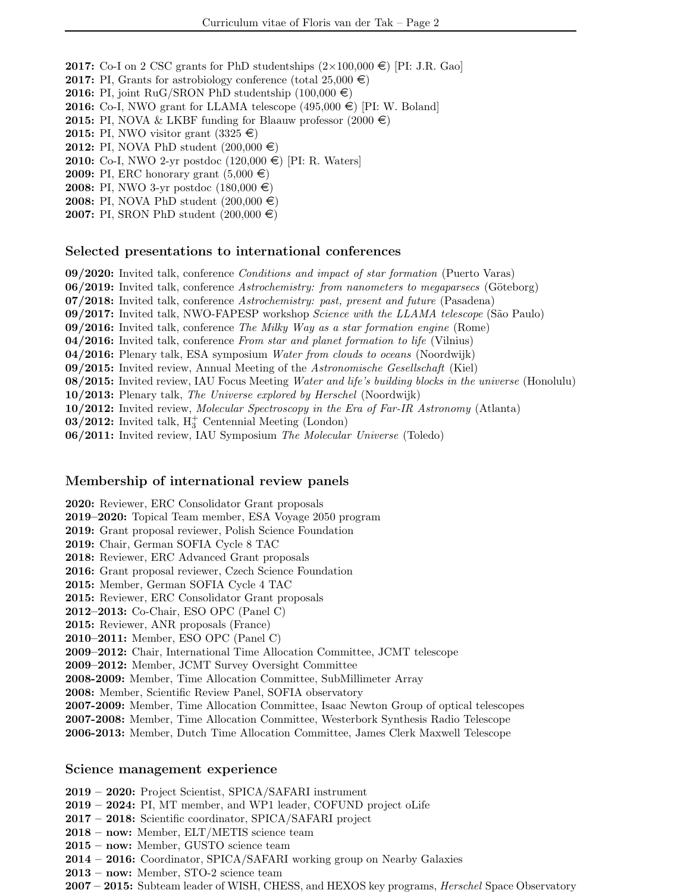**2017:** Co-I on 2 CSC grants for PhD studentships  $(2\times100,000 \in )$  [PI: J.R. Gao]

- **2017:** PI, Grants for astrobiology conference (total  $25,000 \in \mathbb{R}$ )
- **2016:** PI, joint RuG/SRON PhD studentship  $(100,000 \in)$
- **2016:** Co-I, NWO grant for LLAMA telescope  $(495,000 \in )$  [PI: W. Boland]
- **2015:** PI, NOVA & LKBF funding for Blaauw professor  $(2000 \in \mathbb{R})$
- 2015: PI, NWO visitor grant  $(3325 \in)$
- 2012: PI, NOVA PhD student  $(200,000 \in )$
- **2010:** Co-I, NWO 2-yr postdoc  $(120,000 \in )$  [PI: R. Waters]
- **2009:** PI, ERC honorary grant  $(5,000 \in)$
- **2008:** PI, NWO 3-yr postdoc  $(180,000 \in)$
- 2008: PI, NOVA PhD student  $(200,000 \in )$
- 2007: PI, SRON PhD student  $(200,000 \in )$

#### Selected presentations to international conferences

- 09/2020: Invited talk, conference Conditions and impact of star formation (Puerto Varas)
- 06/2019: Invited talk, conference Astrochemistry: from nanometers to megaparsecs (Göteborg)
- 07/2018: Invited talk, conference Astrochemistry: past, present and future (Pasadena)
- 09/2017: Invited talk, NWO-FAPESP workshop Science with the LLAMA telescope (São Paulo)
- 09/2016: Invited talk, conference The Milky Way as a star formation engine (Rome)
- 04/2016: Invited talk, conference From star and planet formation to life (Vilnius)
- 04/2016: Plenary talk, ESA symposium Water from clouds to oceans (Noordwijk)
- 09/2015: Invited review, Annual Meeting of the Astronomische Gesellschaft (Kiel)
- 08/2015: Invited review, IAU Focus Meeting Water and life's building blocks in the universe (Honolulu)
- 10/2013: Plenary talk, The Universe explored by Herschel (Noordwijk)
- 10/2012: Invited review, Molecular Spectroscopy in the Era of Far-IR Astronomy (Atlanta)
- 03/2012: Invited talk,  $H_3^+$  Centennial Meeting (London)
- 06/2011: Invited review, IAU Symposium The Molecular Universe (Toledo)

#### Membership of international review panels

2020: Reviewer, ERC Consolidator Grant proposals

- 2019–2020: Topical Team member, ESA Voyage 2050 program
- 2019: Grant proposal reviewer, Polish Science Foundation
- 2019: Chair, German SOFIA Cycle 8 TAC
- 2018: Reviewer, ERC Advanced Grant proposals
- 2016: Grant proposal reviewer, Czech Science Foundation
- 2015: Member, German SOFIA Cycle 4 TAC
- 2015: Reviewer, ERC Consolidator Grant proposals
- 2012–2013: Co-Chair, ESO OPC (Panel C)
- 2015: Reviewer, ANR proposals (France)
- 2010–2011: Member, ESO OPC (Panel C)
- 2009–2012: Chair, International Time Allocation Committee, JCMT telescope
- 2009–2012: Member, JCMT Survey Oversight Committee
- 2008-2009: Member, Time Allocation Committee, SubMillimeter Array
- 2008: Member, Scientific Review Panel, SOFIA observatory
- 2007-2009: Member, Time Allocation Committee, Isaac Newton Group of optical telescopes
- 2007-2008: Member, Time Allocation Committee, Westerbork Synthesis Radio Telescope
- 2006-2013: Member, Dutch Time Allocation Committee, James Clerk Maxwell Telescope

#### Science management experience

- 2019 2020: Project Scientist, SPICA/SAFARI instrument
- 2019 2024: PI, MT member, and WP1 leader, COFUND project oLife
- 2017 2018: Scientific coordinator, SPICA/SAFARI project
- 2018 now: Member, ELT/METIS science team
- 2015 now: Member, GUSTO science team
- 2014 2016: Coordinator, SPICA/SAFARI working group on Nearby Galaxies
- 2013 now: Member, STO-2 science team
- 2007 2015: Subteam leader of WISH, CHESS, and HEXOS key programs, *Herschel* Space Observatory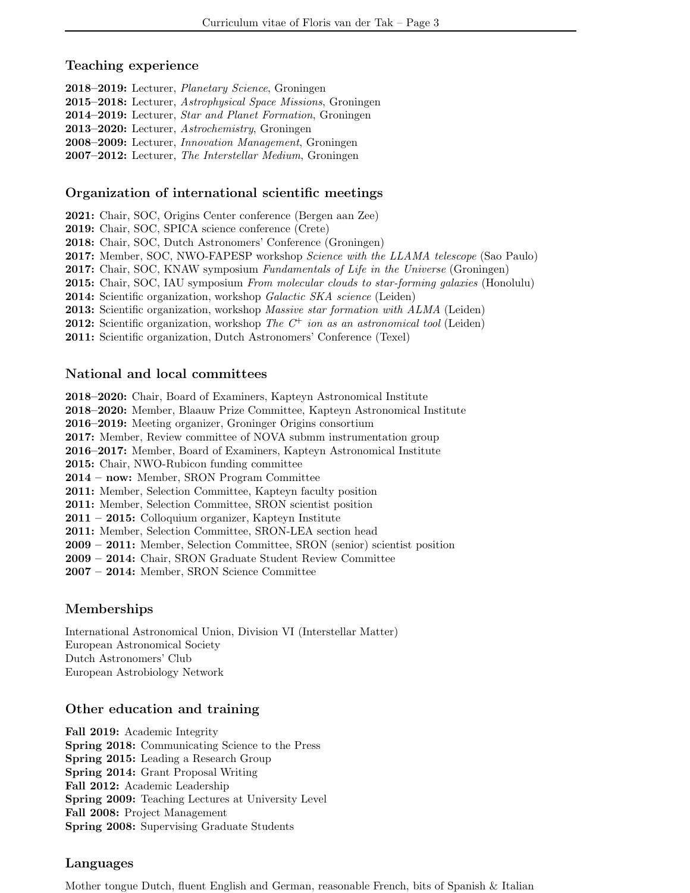#### Teaching experience

2018–2019: Lecturer, Planetary Science, Groningen 2015–2018: Lecturer, Astrophysical Space Missions, Groningen 2014–2019: Lecturer, Star and Planet Formation, Groningen 2013–2020: Lecturer, Astrochemistry, Groningen 2008–2009: Lecturer, Innovation Management, Groningen 2007–2012: Lecturer, The Interstellar Medium, Groningen

### Organization of international scientific meetings

2021: Chair, SOC, Origins Center conference (Bergen aan Zee)

2019: Chair, SOC, SPICA science conference (Crete)

2018: Chair, SOC, Dutch Astronomers' Conference (Groningen)

2017: Member, SOC, NWO-FAPESP workshop Science with the LLAMA telescope (Sao Paulo)

**2017:** Chair, SOC, KNAW symposium *Fundamentals of Life in the Universe* (Groningen)

**2015:** Chair, SOC, IAU symposium From molecular clouds to star-forming galaxies (Honolulu)

2014: Scientific organization, workshop Galactic SKA science (Leiden)

2013: Scientific organization, workshop Massive star formation with ALMA (Leiden)

**2012:** Scientific organization, workshop The  $C^+$  ion as an astronomical tool (Leiden)

2011: Scientific organization, Dutch Astronomers' Conference (Texel)

### National and local committees

2018–2020: Chair, Board of Examiners, Kapteyn Astronomical Institute 2018–2020: Member, Blaauw Prize Committee, Kapteyn Astronomical Institute 2016–2019: Meeting organizer, Groninger Origins consortium 2017: Member, Review committee of NOVA submm instrumentation group 2016–2017: Member, Board of Examiners, Kapteyn Astronomical Institute 2015: Chair, NWO-Rubicon funding committee 2014 – now: Member, SRON Program Committee 2011: Member, Selection Committee, Kapteyn faculty position 2011: Member, Selection Committee, SRON scientist position 2011 – 2015: Colloquium organizer, Kapteyn Institute 2011: Member, Selection Committee, SRON-LEA section head 2009 – 2011: Member, Selection Committee, SRON (senior) scientist position 2009 – 2014: Chair, SRON Graduate Student Review Committee

2007 – 2014: Member, SRON Science Committee

### Memberships

International Astronomical Union, Division VI (Interstellar Matter) European Astronomical Society Dutch Astronomers' Club European Astrobiology Network

### Other education and training

Fall 2019: Academic Integrity Spring 2018: Communicating Science to the Press Spring 2015: Leading a Research Group Spring 2014: Grant Proposal Writing Fall 2012: Academic Leadership Spring 2009: Teaching Lectures at University Level Fall 2008: Project Management Spring 2008: Supervising Graduate Students

### Languages

Mother tongue Dutch, fluent English and German, reasonable French, bits of Spanish & Italian